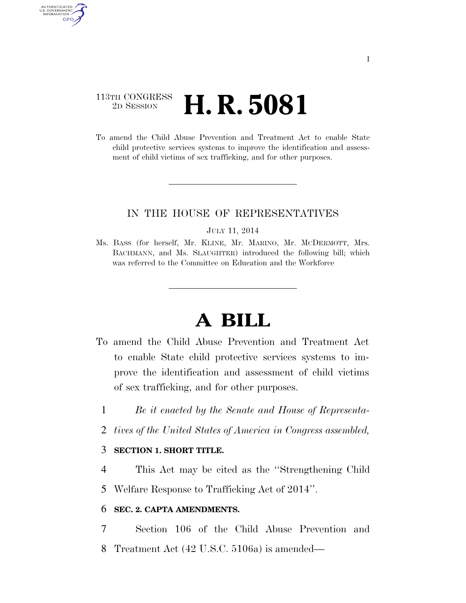# 113TH CONGRESS <sup>2D SESSION</sup> **H. R. 5081**

AUTHENTICATED U.S. GOVERNMENT **GPO** 

> To amend the Child Abuse Prevention and Treatment Act to enable State child protective services systems to improve the identification and assessment of child victims of sex trafficking, and for other purposes.

## IN THE HOUSE OF REPRESENTATIVES

#### JULY 11, 2014

Ms. BASS (for herself, Mr. KLINE, Mr. MARINO, Mr. MCDERMOTT, Mrs. BACHMANN, and Ms. SLAUGHTER) introduced the following bill; which was referred to the Committee on Education and the Workforce

# **A BILL**

- To amend the Child Abuse Prevention and Treatment Act to enable State child protective services systems to improve the identification and assessment of child victims of sex trafficking, and for other purposes.
	- 1 *Be it enacted by the Senate and House of Representa-*
	- 2 *tives of the United States of America in Congress assembled,*

### 3 **SECTION 1. SHORT TITLE.**

4 This Act may be cited as the ''Strengthening Child

5 Welfare Response to Trafficking Act of 2014''.

### 6 **SEC. 2. CAPTA AMENDMENTS.**

7 Section 106 of the Child Abuse Prevention and 8 Treatment Act (42 U.S.C. 5106a) is amended—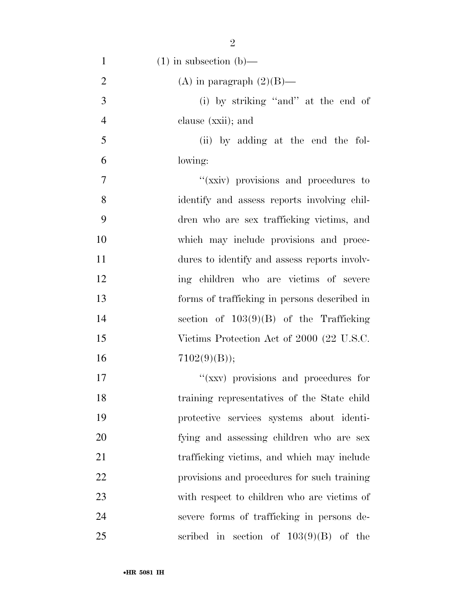| $\mathbf{1}$   | $(1)$ in subsection $(b)$ —                  |
|----------------|----------------------------------------------|
| $\overline{2}$ | (A) in paragraph $(2)(B)$ —                  |
| 3              | (i) by striking "and" at the end of          |
| $\overline{4}$ | clause (xxii); and                           |
| 5              | (ii) by adding at the end the fol-           |
| 6              | lowing:                                      |
| 7              | "(xxiv) provisions and procedures to         |
| 8              | identify and assess reports involving chil-  |
| 9              | dren who are sex trafficking victims, and    |
| 10             | which may include provisions and proce-      |
| 11             | dures to identify and assess reports involv- |
| 12             | ing children who are victims of severe       |
| 13             | forms of trafficking in persons described in |
| 14             | section of $103(9)(B)$ of the Trafficking    |
| 15             | Victims Protection Act of 2000 (22 U.S.C.    |
| 16             | 7102(9)(B));                                 |
| 17             | "(xxv) provisions and procedures for         |
| 18             | training representatives of the State child  |
| 19             | protective services systems about identi-    |
| 20             | fying and assessing children who are sex     |
| 21             | trafficking victims, and which may include   |
| 22             | provisions and procedures for such training  |
| 23             | with respect to children who are victims of  |
| 24             | severe forms of trafficking in persons de-   |
| 25             | scribed in section of $103(9)(B)$ of the     |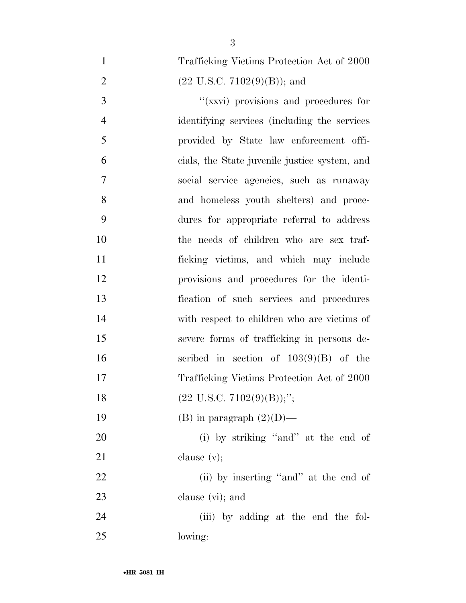| $\mathbf{1}$   | Trafficking Victims Protection Act of 2000     |
|----------------|------------------------------------------------|
| $\overline{2}$ | $(22 \text{ U.S.C. } 7102(9)(\text{B}))$ ; and |
| 3              | "(xxvi) provisions and procedures for          |
| $\overline{4}$ | identifying services (including the services   |
| 5              | provided by State law enforcement offi-        |
| 6              | cials, the State juvenile justice system, and  |
| 7              | social service agencies, such as runaway       |
| 8              | and homeless youth shelters) and proce-        |
| 9              | dures for appropriate referral to address      |
| 10             | the needs of children who are sex traf-        |
| 11             | ficking victims, and which may include         |
| 12             | provisions and procedures for the identi-      |
| 13             | fication of such services and procedures       |
| 14             | with respect to children who are victims of    |
| 15             | severe forms of trafficking in persons de-     |
| 16             | scribed in section of $103(9)(B)$ of the       |
| 17             | Trafficking Victims Protection Act of 2000     |
| 18             | $(22 \text{ U.S.C. } 7102(9)(\text{B}));$ ";   |
| 19             | (B) in paragraph $(2)(D)$ —                    |
| 20             | (i) by striking "and" at the end of            |
| 21             | clause $(v)$ ;                                 |
| 22             | (ii) by inserting "and" at the end of          |
| 23             | clause (vi); and                               |
| 24             | (iii) by adding at the end the fol-            |
| 25             | lowing:                                        |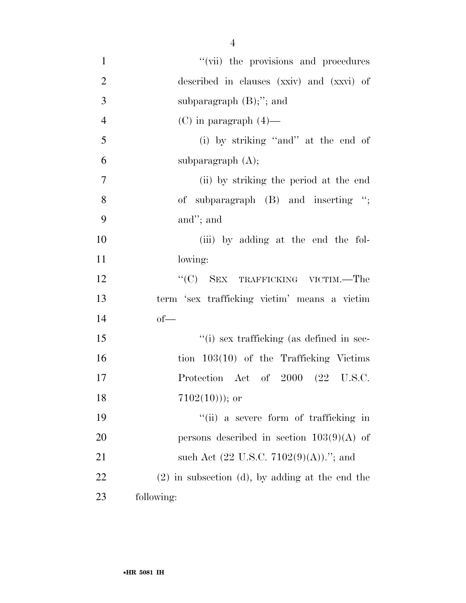| $\mathbf{1}$     | "(vii) the provisions and procedures                      |
|------------------|-----------------------------------------------------------|
| $\overline{2}$   | described in clauses (xxiv) and (xxvi) of                 |
| 3                | subparagraph $(B)$ ;"; and                                |
| $\overline{4}$   | $(C)$ in paragraph $(4)$ —                                |
| 5                | (i) by striking "and" at the end of                       |
| 6                | subparagraph $(A)$ ;                                      |
| $\boldsymbol{7}$ | (ii) by striking the period at the end                    |
| 8                | of subparagraph $(B)$ and inserting ";                    |
| 9                | and"; and                                                 |
| 10               | (iii) by adding at the end the fol-                       |
| 11               | lowing:                                                   |
| 12               | "(C) SEX TRAFFICKING VICTIM.—The                          |
| 13               | term 'sex trafficking victim' means a victim              |
| 14               | $of$ —                                                    |
| 15               | "(i) sex trafficking (as defined in sec-                  |
| 16               | tion $103(10)$ of the Trafficking Victims                 |
| 17               | Protection Act of 2000 (22 U.S.C.                         |
| 18               | $7102(10))$ ; or                                          |
| 19               | "(ii) a severe form of trafficking in                     |
| 20               | persons described in section $103(9)(A)$ of               |
| 21               | such Act $(22 \text{ U.S.C. } 7102(9)(\text{A})).$ "; and |
| 22               | $(2)$ in subsection (d), by adding at the end the         |
| 23               | following:                                                |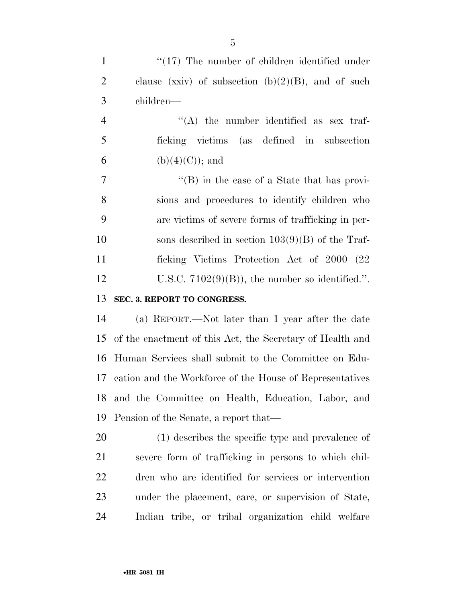| $\mathbf{1}$   | $\lq(17)$ The number of children identified under         |
|----------------|-----------------------------------------------------------|
| $\overline{2}$ | clause (xxiv) of subsection $(b)(2)(B)$ , and of such     |
| 3              | children—                                                 |
| $\overline{4}$ | $\lq\lq$ the number identified as sex traf-               |
| 5              | ficking victims (as defined in subsection                 |
| 6              | $(b)(4)(C)$ ; and                                         |
| $\overline{7}$ | $\lq\lq$ (B) in the case of a State that has provi-       |
| 8              | sions and procedures to identify children who             |
| 9              | are victims of severe forms of trafficking in per-        |
| 10             | sons described in section $103(9)(B)$ of the Traf-        |
| 11             | ficking Victims Protection Act of 2000 (22)               |
| 12             | U.S.C. $7102(9)(B)$ , the number so identified.".         |
| 13             | SEC. 3. REPORT TO CONGRESS.                               |
| 14             | (a) REPORT.—Not later than 1 year after the date          |
| 15             | of the enactment of this Act, the Secretary of Health and |
| 16             | Human Services shall submit to the Committee on Edu-      |
| 17             | cation and the Workforce of the House of Representatives  |
|                | 18 and the Committee on Health, Education, Labor, and     |
| 19             | Pension of the Senate, a report that—                     |
| 20             | (1) describes the specific type and prevalence of         |
| 21             | severe form of trafficking in persons to which chil-      |
| 22             | dren who are identified for services or intervention      |
| 23             | under the placement, care, or supervision of State,       |
| 24             | Indian tribe, or tribal organization child welfare        |
|                |                                                           |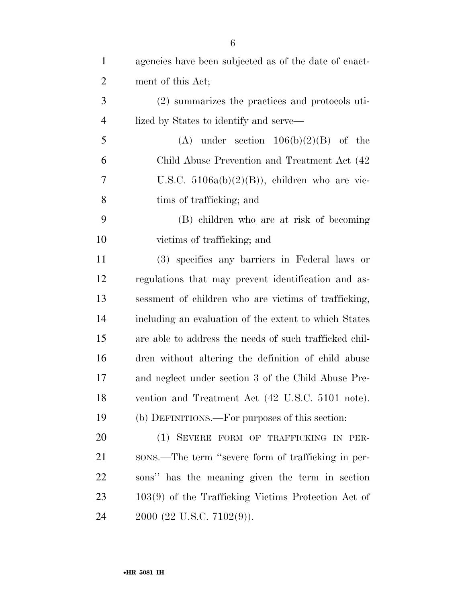| $\mathbf{1}$   | agencies have been subjected as of the date of enact-  |
|----------------|--------------------------------------------------------|
| $\overline{2}$ | ment of this Act;                                      |
| 3              | (2) summarizes the practices and protocols uti-        |
| $\overline{4}$ | lized by States to identify and serve—                 |
| 5              | (A) under section $106(b)(2)(B)$ of the                |
| 6              | Child Abuse Prevention and Treatment Act (42)          |
| 7              | U.S.C. $5106a(b)(2)(B)$ , children who are vic-        |
| 8              | tims of trafficking; and                               |
| 9              | (B) children who are at risk of becoming               |
| 10             | victims of trafficking; and                            |
| 11             | (3) specifies any barriers in Federal laws or          |
| 12             | regulations that may prevent identification and as-    |
| 13             | sessment of children who are victims of trafficking,   |
| 14             | including an evaluation of the extent to which States  |
| 15             | are able to address the needs of such trafficked chil- |
| 16             | dren without altering the definition of child abuse    |
| 17             | and neglect under section 3 of the Child Abuse Pre-    |
| 18             | vention and Treatment Act (42 U.S.C. 5101 note).       |
| 19             | (b) DEFINITIONS.—For purposes of this section:         |
| 20             | (1) SEVERE FORM OF TRAFFICKING IN PER-                 |
| 21             | sons.—The term "severe form of trafficking in per-     |
| 22             | sons" has the meaning given the term in section        |
| 23             | $103(9)$ of the Trafficking Victims Protection Act of  |
| 24             | 2000 (22 U.S.C. 7102(9)).                              |